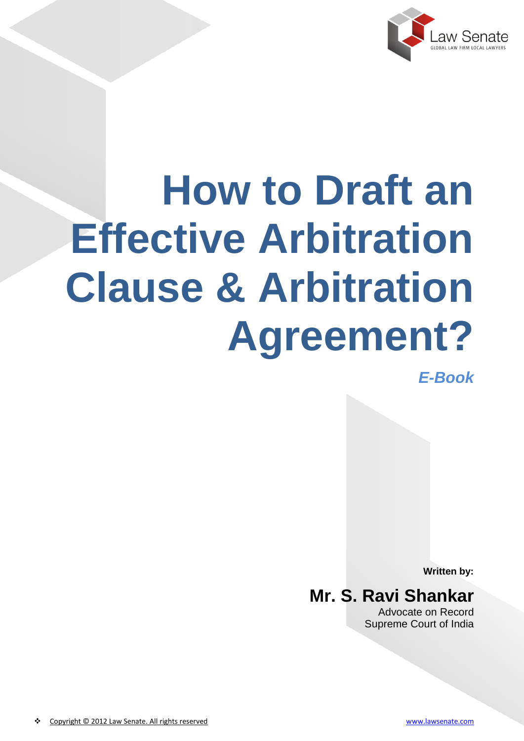

# **How to Draft an Effective Arbitration Clause & Arbitration Agreement?**

*E-Book*

**Written by:**

**Mr. S. Ravi Shankar** Advocate on Record Supreme Court of India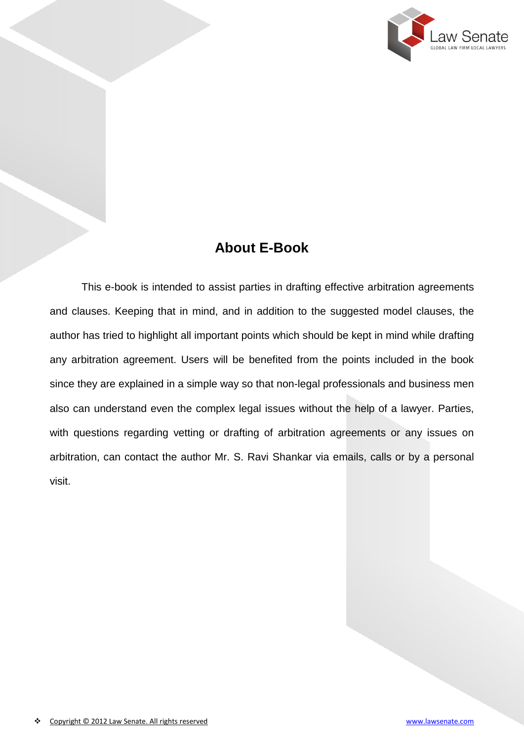

## **About E-Book**

This e-book is intended to assist parties in drafting effective arbitration agreements and clauses. Keeping that in mind, and in addition to the suggested model clauses, the author has tried to highlight all important points which should be kept in mind while drafting any arbitration agreement. Users will be benefited from the points included in the book since they are explained in a simple way so that non-legal professionals and business men also can understand even the complex legal issues without the help of a lawyer. Parties, with questions regarding vetting or drafting of arbitration agreements or any issues on arbitration, can contact the author Mr. S. Ravi Shankar via emails, calls or by a personal visit.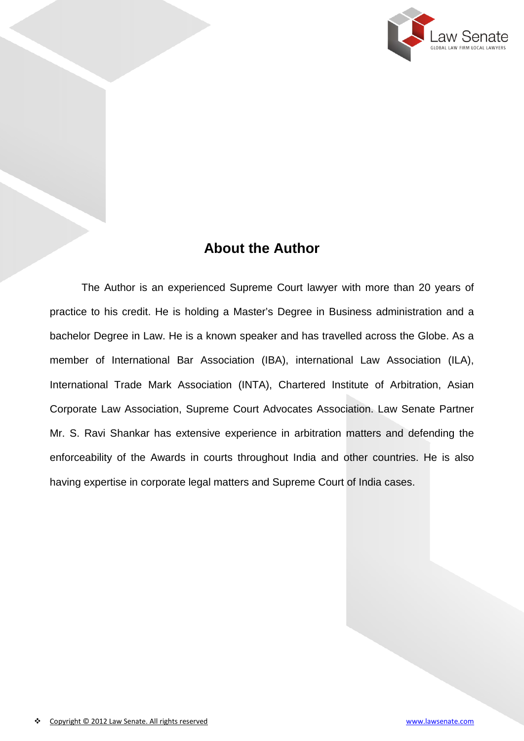

### **About the Author**

The Author is an experienced Supreme Court lawyer with more than 20 years of practice to his credit. He is holding a Master's Degree in Business administration and a bachelor Degree in Law. He is a known speaker and has travelled across the Globe. As a member of International Bar Association (IBA), international Law Association (ILA), International Trade Mark Association (INTA), Chartered Institute of Arbitration, Asian Corporate Law Association, Supreme Court Advocates Association. Law Senate Partner Mr. S. Ravi Shankar has extensive experience in arbitration matters and defending the enforceability of the Awards in courts throughout India and other countries. He is also having expertise in corporate legal matters and Supreme Court of India cases.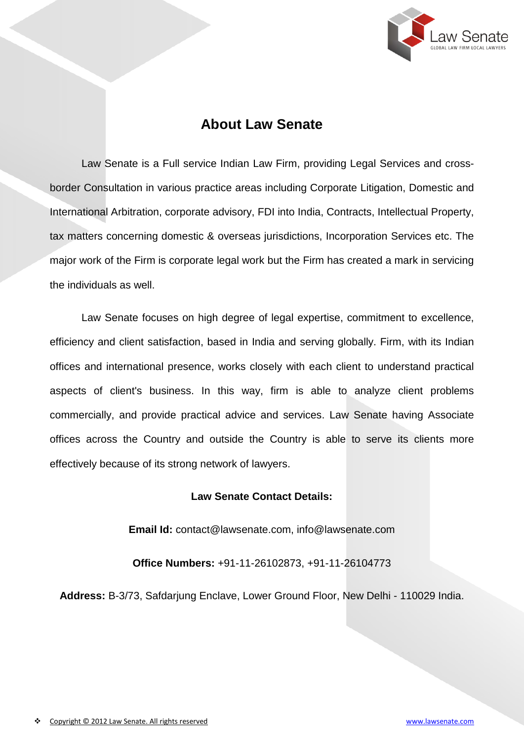

#### **About Law Senate**

Law Senate is a Full service Indian Law Firm, providing Legal Services and crossborder Consultation in various practice areas including Corporate Litigation, Domestic and International Arbitration, corporate advisory, FDI into India, Contracts, Intellectual Property, tax matters concerning domestic & overseas jurisdictions, Incorporation Services etc. The major work of the Firm is corporate legal work but the Firm has created a mark in servicing the individuals as well.

Law Senate focuses on high degree of legal expertise, commitment to excellence, efficiency and client satisfaction, based in India and serving globally. Firm, with its Indian offices and international presence, works closely with each client to understand practical aspects of client's business. In this way, firm is able to analyze client problems commercially, and provide practical advice and services. Law Senate having Associate offices across the Country and outside the Country is able to serve its clients more effectively because of its strong network of lawyers.

#### **Law Senate Contact Details:**

**Email Id:** contact@lawsenate.com, info@lawsenate.com

**Office Numbers:** +91-11-26102873, +91-11-26104773

**Address:** B-3/73, Safdarjung Enclave, Lower Ground Floor, New Delhi - 110029 India.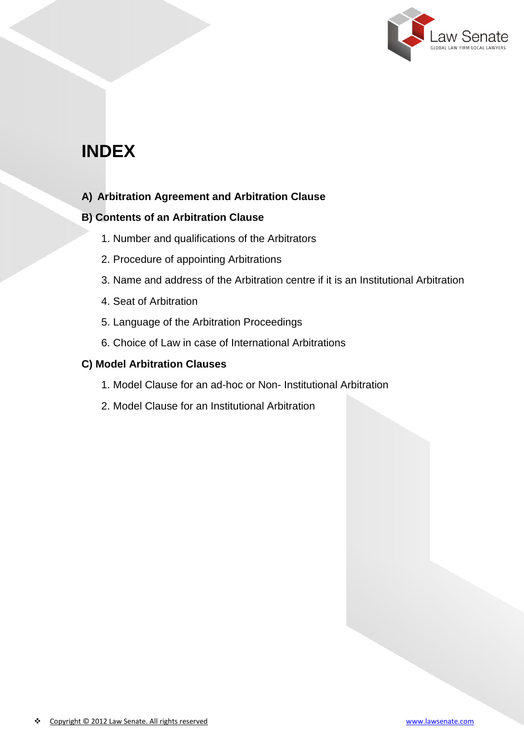

## **INDEX**

#### **A) Arbitration Agreement and Arbitration Clause**

#### **B) Contents of an Arbitration Clause**

- 1. Number and qualifications of the Arbitrators
- 2. Procedure of appointing Arbitrations
- 3. Name and address of the Arbitration centre if it is an Institutional Arbitration
- 4. Seat of Arbitration
- 5. Language of the Arbitration Proceedings
- 6. Choice of Law in case of International Arbitrations

#### **C) Model Arbitration Clauses**

- 1. Model Clause for an ad-hoc or Non- Institutional Arbitration
- 2. Model Clause for an Institutional Arbitration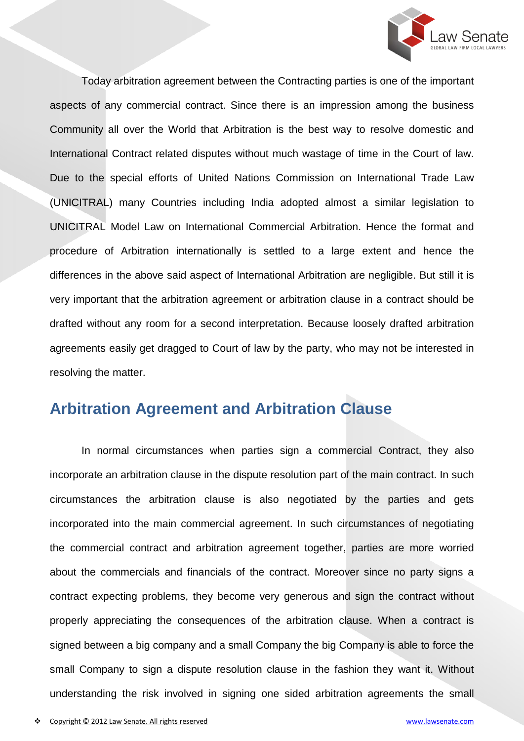

Today arbitration agreement between the Contracting parties is one of the important aspects of any commercial contract. Since there is an impression among the business Community all over the World that Arbitration is the best way to resolve domestic and International Contract related disputes without much wastage of time in the Court of law. Due to the special efforts of United Nations Commission on International Trade Law (UNICITRAL) many Countries including India adopted almost a similar legislation to UNICITRAL Model Law on International Commercial Arbitration. Hence the format and procedure of Arbitration internationally is settled to a large extent and hence the differences in the above said aspect of International Arbitration are negligible. But still it is very important that the arbitration agreement or arbitration clause in a contract should be drafted without any room for a second interpretation. Because loosely drafted arbitration agreements easily get dragged to Court of law by the party, who may not be interested in resolving the matter.

## **Arbitration Agreement and Arbitration Clause**

In normal circumstances when parties sign a commercial Contract, they also incorporate an arbitration clause in the dispute resolution part of the main contract. In such circumstances the arbitration clause is also negotiated by the parties and gets incorporated into the main commercial agreement. In such circumstances of negotiating the commercial contract and arbitration agreement together, parties are more worried about the commercials and financials of the contract. Moreover since no party signs a contract expecting problems, they become very generous and sign the contract without properly appreciating the consequences of the arbitration clause. When a contract is signed between a big company and a small Company the big Company is able to force the small Company to sign a dispute resolution clause in the fashion they want it. Without understanding the risk involved in signing one sided arbitration agreements the small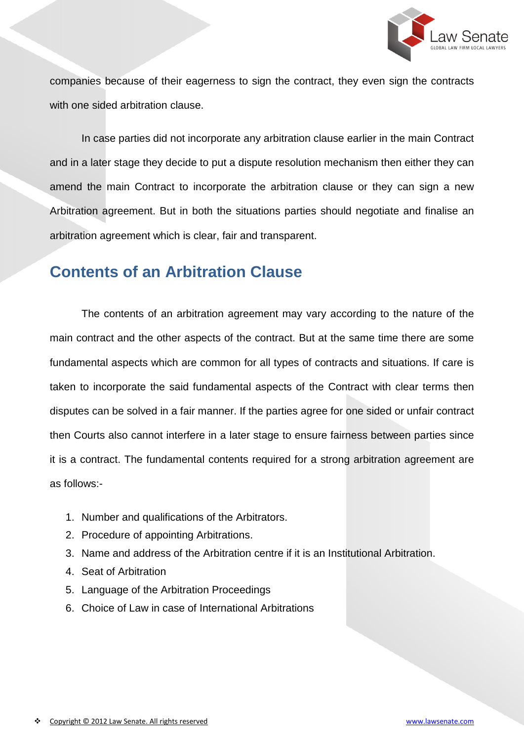

companies because of their eagerness to sign the contract, they even sign the contracts with one sided arbitration clause.

In case parties did not incorporate any arbitration clause earlier in the main Contract and in a later stage they decide to put a dispute resolution mechanism then either they can amend the main Contract to incorporate the arbitration clause or they can sign a new Arbitration agreement. But in both the situations parties should negotiate and finalise an arbitration agreement which is clear, fair and transparent.

## **Contents of an Arbitration Clause**

The contents of an arbitration agreement may vary according to the nature of the main contract and the other aspects of the contract. But at the same time there are some fundamental aspects which are common for all types of contracts and situations. If care is taken to incorporate the said fundamental aspects of the Contract with clear terms then disputes can be solved in a fair manner. If the parties agree for one sided or unfair contract then Courts also cannot interfere in a later stage to ensure fairness between parties since it is a contract. The fundamental contents required for a strong arbitration agreement are as follows:-

- 1. Number and qualifications of the Arbitrators.
- 2. Procedure of appointing Arbitrations.
- 3. Name and address of the Arbitration centre if it is an Institutional Arbitration.
- 4. Seat of Arbitration
- 5. Language of the Arbitration Proceedings
- 6. Choice of Law in case of International Arbitrations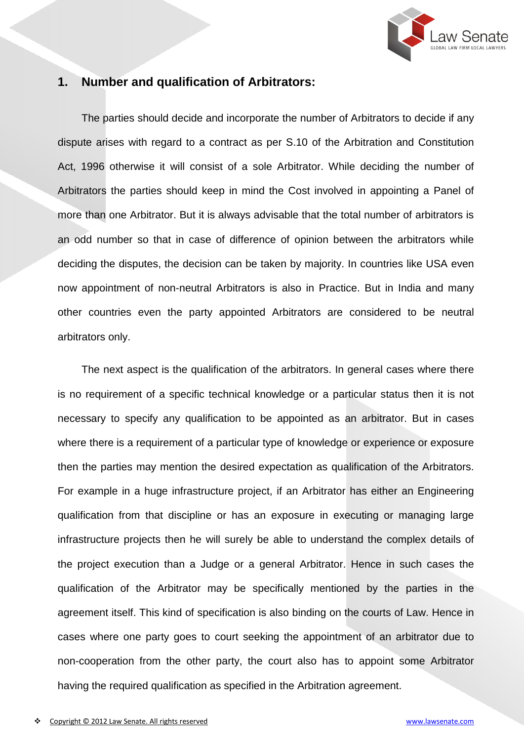

#### **1. Number and qualification of Arbitrators:**

The parties should decide and incorporate the number of Arbitrators to decide if any dispute arises with regard to a contract as per S.10 of the Arbitration and Constitution Act, 1996 otherwise it will consist of a sole Arbitrator. While deciding the number of Arbitrators the parties should keep in mind the Cost involved in appointing a Panel of more than one Arbitrator. But it is always advisable that the total number of arbitrators is an odd number so that in case of difference of opinion between the arbitrators while deciding the disputes, the decision can be taken by majority. In countries like USA even now appointment of non-neutral Arbitrators is also in Practice. But in India and many other countries even the party appointed Arbitrators are considered to be neutral arbitrators only.

The next aspect is the qualification of the arbitrators. In general cases where there is no requirement of a specific technical knowledge or a particular status then it is not necessary to specify any qualification to be appointed as an arbitrator. But in cases where there is a requirement of a particular type of knowledge or experience or exposure then the parties may mention the desired expectation as qualification of the Arbitrators. For example in a huge infrastructure project, if an Arbitrator has either an Engineering qualification from that discipline or has an exposure in executing or managing large infrastructure projects then he will surely be able to understand the complex details of the project execution than a Judge or a general Arbitrator. Hence in such cases the qualification of the Arbitrator may be specifically mentioned by the parties in the agreement itself. This kind of specification is also binding on the courts of Law. Hence in cases where one party goes to court seeking the appointment of an arbitrator due to non-cooperation from the other party, the court also has to appoint some Arbitrator having the required qualification as specified in the Arbitration agreement.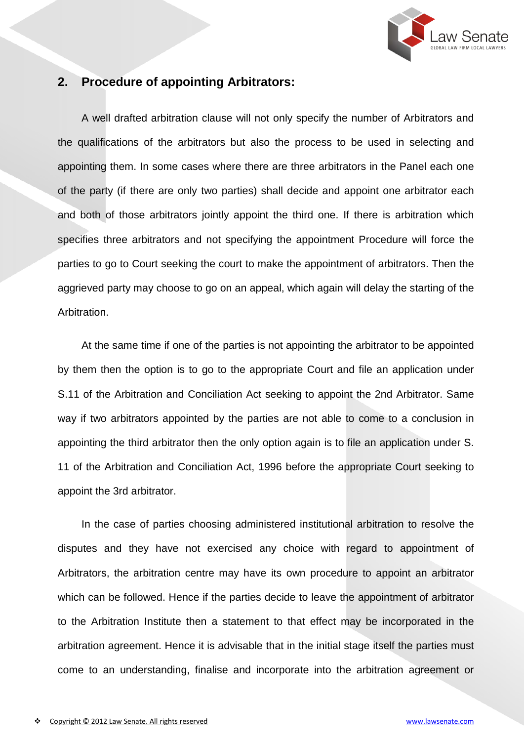

#### **2. Procedure of appointing Arbitrators:**

A well drafted arbitration clause will not only specify the number of Arbitrators and the qualifications of the arbitrators but also the process to be used in selecting and appointing them. In some cases where there are three arbitrators in the Panel each one of the party (if there are only two parties) shall decide and appoint one arbitrator each and both of those arbitrators jointly appoint the third one. If there is arbitration which specifies three arbitrators and not specifying the appointment Procedure will force the parties to go to Court seeking the court to make the appointment of arbitrators. Then the aggrieved party may choose to go on an appeal, which again will delay the starting of the Arbitration.

At the same time if one of the parties is not appointing the arbitrator to be appointed by them then the option is to go to the appropriate Court and file an application under S.11 of the Arbitration and Conciliation Act seeking to appoint the 2nd Arbitrator. Same way if two arbitrators appointed by the parties are not able to come to a conclusion in appointing the third arbitrator then the only option again is to file an application under S. 11 of the Arbitration and Conciliation Act, 1996 before the appropriate Court seeking to appoint the 3rd arbitrator.

In the case of parties choosing administered institutional arbitration to resolve the disputes and they have not exercised any choice with regard to appointment of Arbitrators, the arbitration centre may have its own procedure to appoint an arbitrator which can be followed. Hence if the parties decide to leave the appointment of arbitrator to the Arbitration Institute then a statement to that effect may be incorporated in the arbitration agreement. Hence it is advisable that in the initial stage itself the parties must come to an understanding, finalise and incorporate into the arbitration agreement or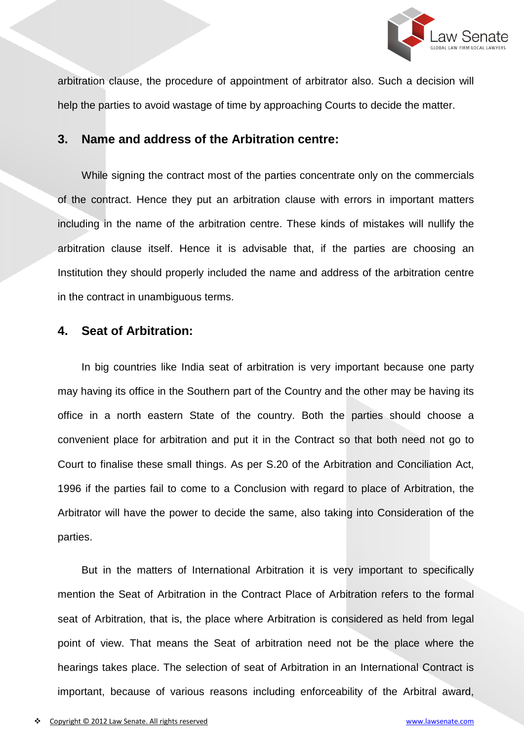

arbitration clause, the procedure of appointment of arbitrator also. Such a decision will help the parties to avoid wastage of time by approaching Courts to decide the matter.

#### **3. Name and address of the Arbitration centre:**

While signing the contract most of the parties concentrate only on the commercials of the contract. Hence they put an arbitration clause with errors in important matters including in the name of the arbitration centre. These kinds of mistakes will nullify the arbitration clause itself. Hence it is advisable that, if the parties are choosing an Institution they should properly included the name and address of the arbitration centre in the contract in unambiguous terms.

#### **4. Seat of Arbitration:**

In big countries like India seat of arbitration is very important because one party may having its office in the Southern part of the Country and the other may be having its office in a north eastern State of the country. Both the parties should choose a convenient place for arbitration and put it in the Contract so that both need not go to Court to finalise these small things. As per S.20 of the Arbitration and Conciliation Act, 1996 if the parties fail to come to a Conclusion with regard to place of Arbitration, the Arbitrator will have the power to decide the same, also taking into Consideration of the parties.

But in the matters of International Arbitration it is very important to specifically mention the Seat of Arbitration in the Contract Place of Arbitration refers to the formal seat of Arbitration, that is, the place where Arbitration is considered as held from legal point of view. That means the Seat of arbitration need not be the place where the hearings takes place. The selection of seat of Arbitration in an International Contract is important, because of various reasons including enforceability of the Arbitral award,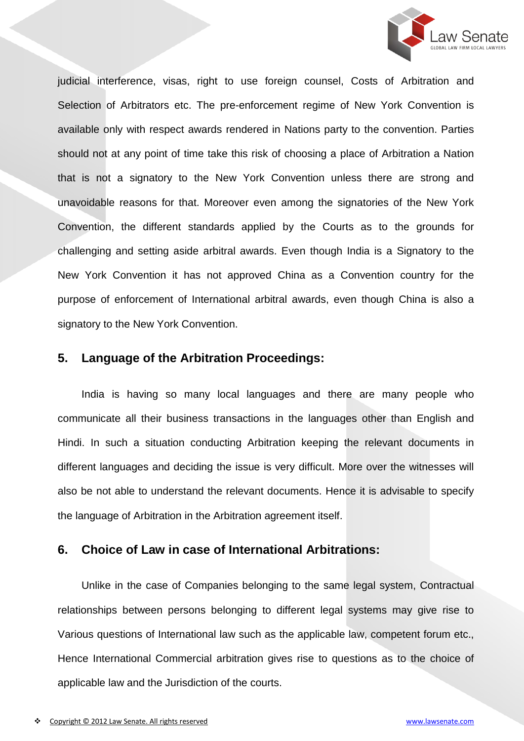

judicial interference, visas, right to use foreign counsel, Costs of Arbitration and Selection of Arbitrators etc. The pre-enforcement regime of New York Convention is available only with respect awards rendered in Nations party to the convention. Parties should not at any point of time take this risk of choosing a place of Arbitration a Nation that is not a signatory to the New York Convention unless there are strong and unavoidable reasons for that. Moreover even among the signatories of the New York Convention, the different standards applied by the Courts as to the grounds for challenging and setting aside arbitral awards. Even though India is a Signatory to the New York Convention it has not approved China as a Convention country for the purpose of enforcement of International arbitral awards, even though China is also a signatory to the New York Convention.

#### **5. Language of the Arbitration Proceedings:**

India is having so many local languages and there are many people who communicate all their business transactions in the languages other than English and Hindi. In such a situation conducting Arbitration keeping the relevant documents in different languages and deciding the issue is very difficult. More over the witnesses will also be not able to understand the relevant documents. Hence it is advisable to specify the language of Arbitration in the Arbitration agreement itself.

#### **6. Choice of Law in case of International Arbitrations:**

Unlike in the case of Companies belonging to the same legal system, Contractual relationships between persons belonging to different legal systems may give rise to Various questions of International law such as the applicable law, competent forum etc., Hence International Commercial arbitration gives rise to questions as to the choice of applicable law and the Jurisdiction of the courts.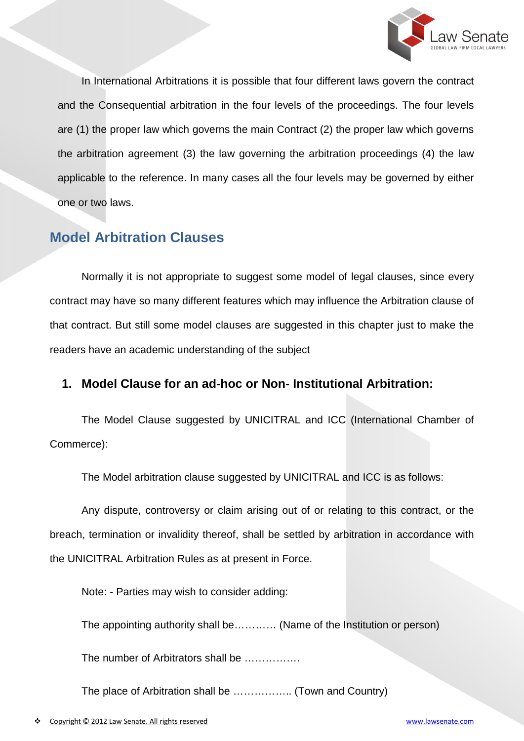

In International Arbitrations it is possible that four different laws govern the contract and the Consequential arbitration in the four levels of the proceedings. The four levels are (1) the proper law which governs the main Contract (2) the proper law which governs the arbitration agreement (3) the law governing the arbitration proceedings (4) the law applicable to the reference. In many cases all the four levels may be governed by either one or two laws.

### **Model Arbitration Clauses**

Normally it is not appropriate to suggest some model of legal clauses, since every contract may have so many different features which may influence the Arbitration clause of that contract. But still some model clauses are suggested in this chapter just to make the readers have an academic understanding of the subject

#### **1. Model Clause for an ad-hoc or Non- Institutional Arbitration:**

The Model Clause suggested by UNICITRAL and ICC (International Chamber of Commerce):

The Model arbitration clause suggested by UNICITRAL and ICC is as follows:

Any dispute, controversy or claim arising out of or relating to this contract, or the breach, termination or invalidity thereof, shall be settled by arbitration in accordance with the UNICITRAL Arbitration Rules as at present in Force.

Note: - Parties may wish to consider adding:

The appointing authority shall be………… (Name of the Institution or person)

The number of Arbitrators shall be …………….

The place of Arbitration shall be …………….. (Town and Country)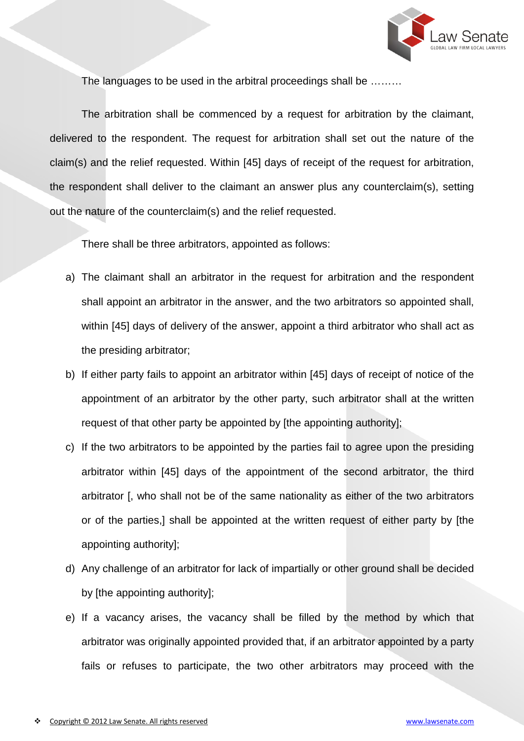

The languages to be used in the arbitral proceedings shall be ………

The arbitration shall be commenced by a request for arbitration by the claimant, delivered to the respondent. The request for arbitration shall set out the nature of the claim(s) and the relief requested. Within [45] days of receipt of the request for arbitration, the respondent shall deliver to the claimant an answer plus any counterclaim(s), setting out the nature of the counterclaim(s) and the relief requested.

There shall be three arbitrators, appointed as follows:

- a) The claimant shall an arbitrator in the request for arbitration and the respondent shall appoint an arbitrator in the answer, and the two arbitrators so appointed shall, within [45] days of delivery of the answer, appoint a third arbitrator who shall act as the presiding arbitrator;
- b) If either party fails to appoint an arbitrator within [45] days of receipt of notice of the appointment of an arbitrator by the other party, such arbitrator shall at the written request of that other party be appointed by [the appointing authority];
- c) If the two arbitrators to be appointed by the parties fail to agree upon the presiding arbitrator within [45] days of the appointment of the second arbitrator, the third arbitrator [, who shall not be of the same nationality as either of the two arbitrators or of the parties,] shall be appointed at the written request of either party by [the appointing authority];
- d) Any challenge of an arbitrator for lack of impartially or other ground shall be decided by [the appointing authority];
- e) If a vacancy arises, the vacancy shall be filled by the method by which that arbitrator was originally appointed provided that, if an arbitrator appointed by a party fails or refuses to participate, the two other arbitrators may proceed with the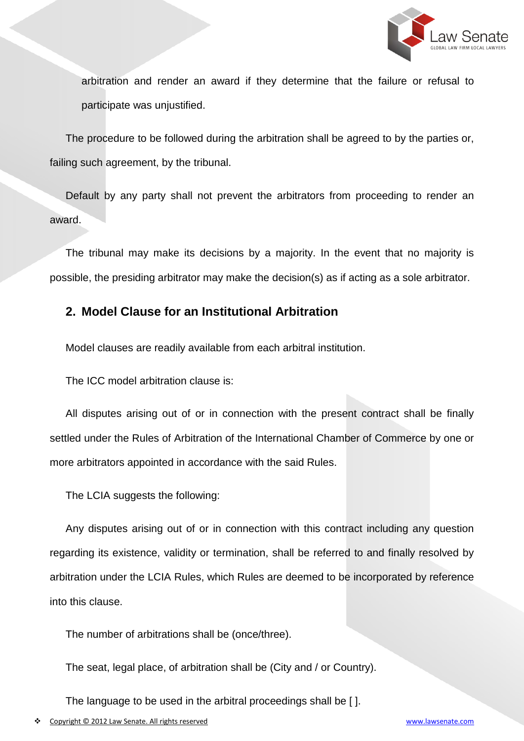

arbitration and render an award if they determine that the failure or refusal to participate was unjustified.

The procedure to be followed during the arbitration shall be agreed to by the parties or, failing such agreement, by the tribunal.

Default by any party shall not prevent the arbitrators from proceeding to render an award.

The tribunal may make its decisions by a majority. In the event that no majority is possible, the presiding arbitrator may make the decision(s) as if acting as a sole arbitrator.

#### **2. Model Clause for an Institutional Arbitration**

Model clauses are readily available from each arbitral institution.

The ICC model arbitration clause is:

All disputes arising out of or in connection with the present contract shall be finally settled under the Rules of Arbitration of the International Chamber of Commerce by one or more arbitrators appointed in accordance with the said Rules.

The LCIA suggests the following:

Any disputes arising out of or in connection with this contract including any question regarding its existence, validity or termination, shall be referred to and finally resolved by arbitration under the LCIA Rules, which Rules are deemed to be incorporated by reference into this clause.

The number of arbitrations shall be (once/three).

The seat, legal place, of arbitration shall be (City and / or Country).

The language to be used in the arbitral proceedings shall be [ ].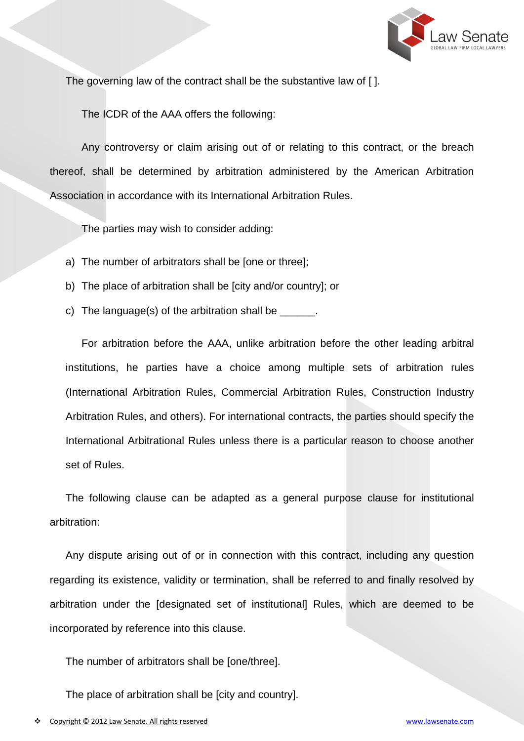

The governing law of the contract shall be the substantive law of [ ].

The ICDR of the AAA offers the following:

Any controversy or claim arising out of or relating to this contract, or the breach thereof, shall be determined by arbitration administered by the American Arbitration Association in accordance with its International Arbitration Rules.

The parties may wish to consider adding:

- a) The number of arbitrators shall be [one or three];
- b) The place of arbitration shall be [city and/or country]; or
- c) The language(s) of the arbitration shall be  $\Box$

For arbitration before the AAA, unlike arbitration before the other leading arbitral institutions, he parties have a choice among multiple sets of arbitration rules (International Arbitration Rules, Commercial Arbitration Rules, Construction Industry Arbitration Rules, and others). For international contracts, the parties should specify the International Arbitrational Rules unless there is a particular reason to choose another set of Rules.

The following clause can be adapted as a general purpose clause for institutional arbitration:

Any dispute arising out of or in connection with this contract, including any question regarding its existence, validity or termination, shall be referred to and finally resolved by arbitration under the [designated set of institutional] Rules, which are deemed to be incorporated by reference into this clause.

The number of arbitrators shall be [one/three].

The place of arbitration shall be [city and country].